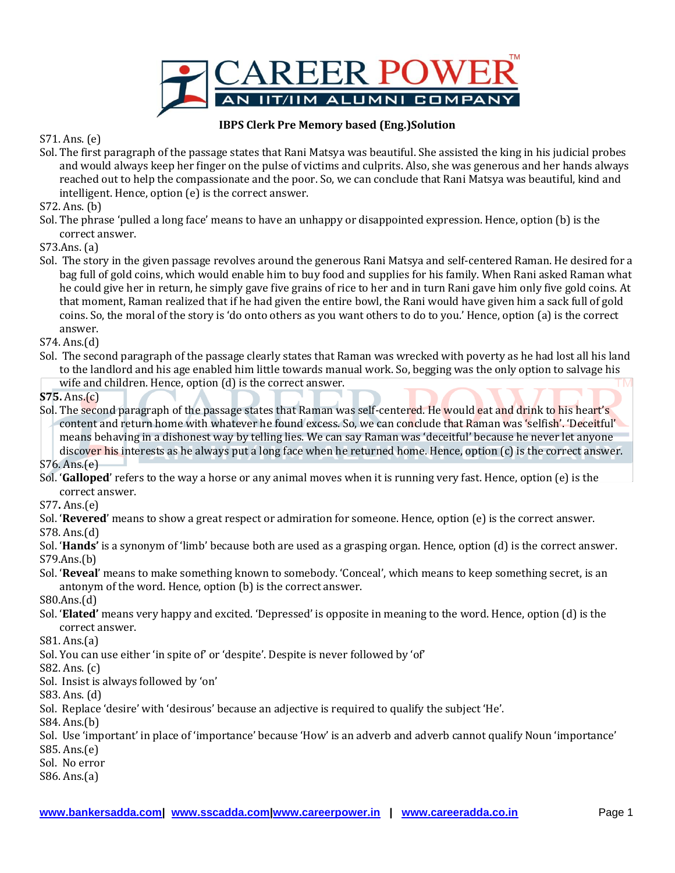

## **IBPS Clerk Pre Memory based (Eng.)Solution**

S71. Ans. (e)

Sol. The first paragraph of the passage states that Rani Matsya was beautiful. She assisted the king in his judicial probes and would always keep her finger on the pulse of victims and culprits. Also, she was generous and her hands always reached out to help the compassionate and the poor. So, we can conclude that Rani Matsya was beautiful, kind and intelligent. Hence, option (e) is the correct answer.

S72. Ans. (b)

Sol. The phrase 'pulled a long face' means to have an unhappy or disappointed expression. Hence, option (b) is the correct answer.

S73.Ans. (a)

Sol. The story in the given passage revolves around the generous Rani Matsya and self-centered Raman. He desired for a bag full of gold coins, which would enable him to buy food and supplies for his family. When Rani asked Raman what he could give her in return, he simply gave five grains of rice to her and in turn Rani gave him only five gold coins. At that moment, Raman realized that if he had given the entire bowl, the Rani would have given him a sack full of gold coins. So, the moral of the story is 'do onto others as you want others to do to you.' Hence, option (a) is the correct answer.

S74. Ans.(d)

Sol. The second paragraph of the passage clearly states that Raman was wrecked with poverty as he had lost all his land to the landlord and his age enabled him little towards manual work. So, begging was the only option to salvage his wife and children. Hence, option (d) is the correct answer.

**S75.** Ans.(c)

Sol. The second paragraph of the passage states that Raman was self-centered. He would eat and drink to his heart's content and return home with whatever he found excess. So, we can conclude that Raman was 'selfish'. 'Deceitful' means behaving in a dishonest way by telling lies. We can say Raman was 'deceitful' because he never let anyone discover his interests as he always put a long face when he returned home. Hence, option (c) is the correct answer.

S76. Ans.(e)

Sol. '**Galloped**' refers to the way a horse or any animal moves when it is running very fast. Hence, option (e) is the correct answer.

S77**.** Ans.(e)

Sol. '**Revered**' means to show a great respect or admiration for someone. Hence, option (e) is the correct answer.

S78. Ans.(d)

- Sol. '**Hands'** is a synonym of 'limb' because both are used as a grasping organ. Hence, option (d) is the correct answer. S79.Ans.(b)
- Sol. '**Reveal**' means to make something known to somebody. 'Conceal', which means to keep something secret, is an antonym of the word. Hence, option (b) is the correct answer.

S80.Ans.(d)

Sol. '**Elated'** means very happy and excited. 'Depressed' is opposite in meaning to the word. Hence, option (d) is the correct answer.

S81. Ans.(a)

Sol. You can use either 'in spite of' or 'despite'. Despite is never followed by 'of'

S82. Ans. (c)

Sol. Insist is always followed by 'on'

S83. Ans. (d)

Sol. Replace 'desire' with 'desirous' because an adjective is required to qualify the subject 'He'.

S84. Ans.(b)

Sol. Use 'important' in place of 'importance' because 'How' is an adverb and adverb cannot qualify Noun 'importance'

S85. Ans.(e)

Sol. No error

S86. Ans.(a)